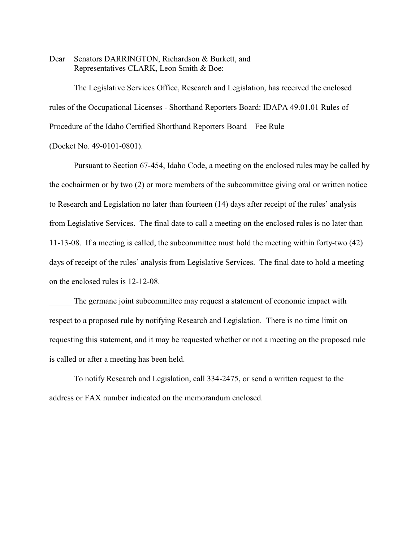Dear Senators DARRINGTON, Richardson & Burkett, and Representatives CLARK, Leon Smith & Boe:

The Legislative Services Office, Research and Legislation, has received the enclosed rules of the Occupational Licenses - Shorthand Reporters Board: IDAPA 49.01.01 Rules of Procedure of the Idaho Certified Shorthand Reporters Board – Fee Rule

(Docket No. 49-0101-0801).

Pursuant to Section 67-454, Idaho Code, a meeting on the enclosed rules may be called by the cochairmen or by two (2) or more members of the subcommittee giving oral or written notice to Research and Legislation no later than fourteen (14) days after receipt of the rules' analysis from Legislative Services. The final date to call a meeting on the enclosed rules is no later than 11-13-08. If a meeting is called, the subcommittee must hold the meeting within forty-two (42) days of receipt of the rules' analysis from Legislative Services. The final date to hold a meeting on the enclosed rules is 12-12-08.

The germane joint subcommittee may request a statement of economic impact with respect to a proposed rule by notifying Research and Legislation. There is no time limit on requesting this statement, and it may be requested whether or not a meeting on the proposed rule is called or after a meeting has been held.

To notify Research and Legislation, call 334-2475, or send a written request to the address or FAX number indicated on the memorandum enclosed.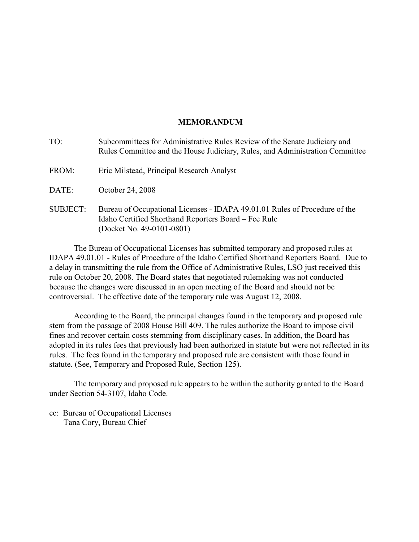# **MEMORANDUM**

| TO:             | Subcommittees for Administrative Rules Review of the Senate Judiciary and<br>Rules Committee and the House Judiciary, Rules, and Administration Committee       |
|-----------------|-----------------------------------------------------------------------------------------------------------------------------------------------------------------|
| FROM:           | Eric Milstead, Principal Research Analyst                                                                                                                       |
| DATE:           | October 24, 2008                                                                                                                                                |
| <b>SUBJECT:</b> | Bureau of Occupational Licenses - IDAPA 49.01.01 Rules of Procedure of the<br>Idaho Certified Shorthand Reporters Board – Fee Rule<br>(Docket No. 49-0101-0801) |

The Bureau of Occupational Licenses has submitted temporary and proposed rules at IDAPA 49.01.01 - Rules of Procedure of the Idaho Certified Shorthand Reporters Board. Due to a delay in transmitting the rule from the Office of Administrative Rules, LSO just received this rule on October 20, 2008. The Board states that negotiated rulemaking was not conducted because the changes were discussed in an open meeting of the Board and should not be controversial. The effective date of the temporary rule was August 12, 2008.

According to the Board, the principal changes found in the temporary and proposed rule stem from the passage of 2008 House Bill 409. The rules authorize the Board to impose civil fines and recover certain costs stemming from disciplinary cases. In addition, the Board has adopted in its rules fees that previously had been authorized in statute but were not reflected in its rules. The fees found in the temporary and proposed rule are consistent with those found in statute. (See, Temporary and Proposed Rule, Section 125).

The temporary and proposed rule appears to be within the authority granted to the Board under Section 54-3107, Idaho Code.

cc: Bureau of Occupational Licenses Tana Cory, Bureau Chief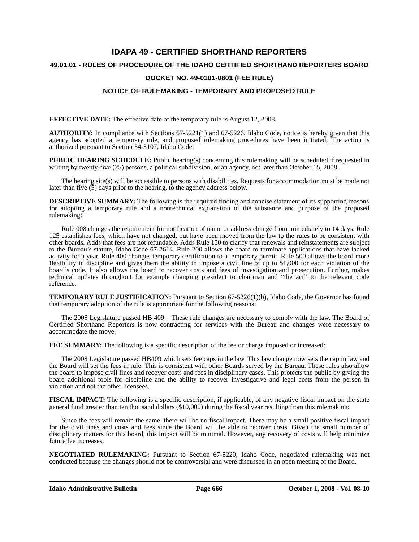# **IDAPA 49 - CERTIFIED SHORTHAND REPORTERS 49.01.01 - RULES OF PROCEDURE OF THE IDAHO CERTIFIED SHORTHAND REPORTERS BOARD DOCKET NO. 49-0101-0801 (FEE RULE)**

# **NOTICE OF RULEMAKING - TEMPORARY AND PROPOSED RULE**

**EFFECTIVE DATE:** The effective date of the temporary rule is August 12, 2008.

**AUTHORITY:** In compliance with Sections 67-5221(1) and 67-5226, Idaho Code, notice is hereby given that this agency has adopted a temporary rule, and proposed rulemaking procedures have been initiated. The action is authorized pursuant to Section 54-3107, Idaho Code.

**PUBLIC HEARING SCHEDULE:** Public hearing(s) concerning this rulemaking will be scheduled if requested in writing by twenty-five (25) persons, a political subdivision, or an agency, not later than October 15, 2008.

The hearing site(s) will be accessible to persons with disabilities. Requests for accommodation must be made not later than five  $(5)$  days prior to the hearing, to the agency address below.

**DESCRIPTIVE SUMMARY:** The following is the required finding and concise statement of its supporting reasons for adopting a temporary rule and a nontechnical explanation of the substance and purpose of the proposed rulemaking:

Rule 008 changes the requirement for notification of name or address change from immediately to 14 days. Rule 125 establishes fees, which have not changed, but have been moved from the law to the rules to be consistent with other boards. Adds that fees are not refundable. Adds Rule 150 to clarify that renewals and reinstatements are subject to the Bureau's statute, Idaho Code 67-2614. Rule 200 allows the board to terminate applications that have lacked activity for a year. Rule 400 changes temporary certification to a temporary permit. Rule 500 allows the board more flexibility in discipline and gives them the ability to impose a civil fine of up to \$1,000 for each violation of the board's code. It also allows the board to recover costs and fees of investigation and prosecution. Further, makes technical updates throughout for example changing president to chairman and "the act" to the relevant code reference.

**TEMPORARY RULE JUSTIFICATION:** Pursuant to Section 67-5226(1)(b), Idaho Code, the Governor has found that temporary adoption of the rule is appropriate for the following reasons:

The 2008 Legislature passed HB 409. These rule changes are necessary to comply with the law. The Board of Certified Shorthand Reporters is now contracting for services with the Bureau and changes were necessary to accommodate the move.

**FEE SUMMARY:** The following is a specific description of the fee or charge imposed or increased:

The 2008 Legislature passed HB409 which sets fee caps in the law. This law change now sets the cap in law and the Board will set the fees in rule. This is consistent with other Boards served by the Bureau. These rules also allow the board to impose civil fines and recover costs and fees in disciplinary cases. This protects the public by giving the board additional tools for discipline and the ability to recover investigative and legal costs from the person in violation and not the other licensees.

**FISCAL IMPACT:** The following is a specific description, if applicable, of any negative fiscal impact on the state general fund greater than ten thousand dollars (\$10,000) during the fiscal year resulting from this rulemaking:

Since the fees will remain the same, there will be no fiscal impact. There may be a small positive fiscal impact for the civil fines and costs and fees since the Board will be able to recover costs. Given the small number of disciplinary matters for this board, this impact will be minimal. However, any recovery of costs will help minimize future fee increases.

**NEGOTIATED RULEMAKING:** Pursuant to Section 67-5220, Idaho Code, negotiated rulemaking was not conducted because the changes should not be controversial and were discussed in an open meeting of the Board.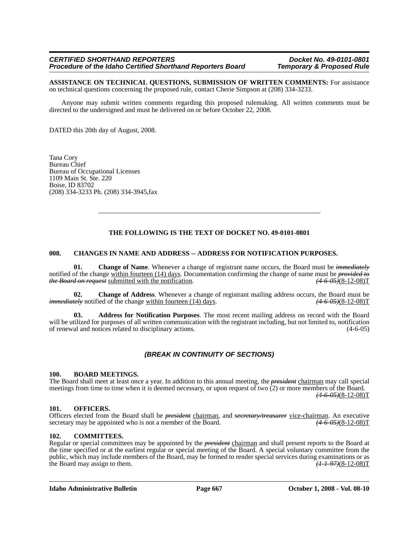#### *CERTIFIED SHORTHAND REPORTERS Docket No. 49-0101-0801 Procedure of the Idaho Certified Shorthand Reporters Board*

**ASSISTANCE ON TECHNICAL QUESTIONS, SUBMISSION OF WRITTEN COMMENTS:** For assistance on technical questions concerning the proposed rule, contact Cherie Simpson at (208) 334-3233.

Anyone may submit written comments regarding this proposed rulemaking. All written comments must be directed to the undersigned and must be delivered on or before October 22, 2008.

DATED this 20th day of August, 2008.

Tana Cory Bureau Chief Bureau of Occupational Licenses 1109 Main St. Ste. 220 Boise, ID 83702 (208) 334-3233 Ph. (208) 334-3945,fax

# **THE FOLLOWING IS THE TEXT OF DOCKET NO. 49-0101-0801**

# **008. CHANGES IN NAME AND ADDRESS -- ADDRESS FOR NOTIFICATION PURPOSES.**

**01. Change of Name**. Whenever a change of registrant name occurs, the Board must be *immediately* notified of the change within fourteen (14) days. Documentation confirming the change of name must be *provided to the Board on request* submitted with the notification. *(4-6-05)*(8-12-08)T

**02. Change of Address**. Whenever a change of registrant mailing address occurs, the Board must be *immediately* notified of the change <u>within fourteen (14) days</u>. *(4-6-05)*(8-12-08)T

**03. Address for Notification Purposes**. The most recent mailing address on record with the Board will be utilized for purposes of all written communication with the registrant including, but not limited to, notification of renewal and notices related to disciplinary actions. (4-6-05)

# *(BREAK IN CONTINUITY OF SECTIONS)*

#### **100. BOARD MEETINGS.**

The Board shall meet at least once a year. In addition to this annual meeting, the *president* chairman may call special meetings from time to time when it is deemed necessary, or upon request of two (2) or more members of the Board. *(4-6-05)*(8-12-08)T

# **101. OFFICERS.**

Officers elected from the Board shall be *president* chairman, and *secretary/treasurer* vice-chairman. An executive secretary may be appointed who is not a member of the Board. *(4-6-05)*(8-12-08)T

# **102. COMMITTEES.**

Regular or special committees may be appointed by the *president* chairman and shall present reports to the Board at the time specified or at the earliest regular or special meeting of the Board. A special voluntary committee from the public, which may include members of the Board, may be formed to render special services during examinations or as the Board may assign to them.  $\left(\frac{1}{1-97}\right)\left(\frac{8-12-08}{12-08}\right)$ 

**Idaho Administrative Bulletin** Page 667 **October 1, 2008 - Vol. 08-10**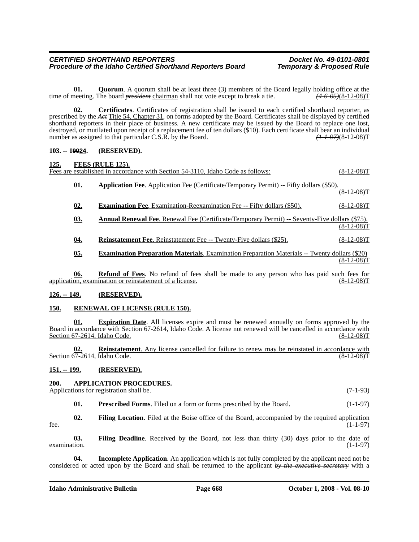**01.** Quorum. A quorum shall be at least three (3) members of the Board legally holding office at the time of meeting. The board *president* chairman shall not vote except to break a tie. *(4-6-05)*(8-12-08)T

**02. Certificates**. Certificates of registration shall be issued to each certified shorthand reporter, as prescribed by the *Act* Title 54, Chapter 31, on forms adopted by the Board. Certificates shall be displayed by certified shorthand reporters in their place of business. A new certificate may be issued by the Board to replace one lost, destroyed, or mutilated upon receipt of a replacement fee of ten dollars (\$10). Each certificate shall bear an individual number as assigned to that particular C.S.R. by the Board. *(1-1-97)*(8-12-08)T

# **103. -- 19924. (RESERVED).**

| <u>125.</u> |            | FEES (RULE 125).<br>Fees are established in accordance with Section 54-3110. Idaho Code as follows:                                                        | $(8-12-08)T$ |
|-------------|------------|------------------------------------------------------------------------------------------------------------------------------------------------------------|--------------|
|             | <u>01.</u> | <b>Application Fee.</b> Application Fee (Certificate/Temporary Permit) -- Fifty dollars (\$50).                                                            | $(8-12-08)T$ |
|             | 02.        | <b>Examination Fee.</b> Examination-Reexamination Fee -- Fifty dollars (\$50).                                                                             | $(8-12-08)T$ |
|             | <u>03.</u> | <b>Annual Renewal Fee.</b> Renewal Fee (Certificate/Temporary Permit) -- Seventy-Five dollars (\$75).                                                      | $(8-12-08)T$ |
|             | 04.        | <b>Reinstatement Fee.</b> Reinstatement Fee -- Twenty-Five dollars (\$25).                                                                                 | $(8-12-08)T$ |
|             | 05.        | <b>Examination Preparation Materials.</b> Examination Preparation Materials -- Twenty dollars (\$20)                                                       | $(8-12-08)T$ |
|             | 06.        | <b>Refund of Fees.</b> No refund of fees shall be made to any person who has paid such fees for<br>application, examination or reinstatement of a license. | $(8-12-08)T$ |

**126. -- 149. (RESERVED).**

# **150. RENEWAL OF LICENSE (RULE 150).**

**01. Expiration Date**. All licenses expire and must be renewed annually on forms approved by the Board in accordance with Section 67-2614, Idaho Code. A license not renewed will be cancelled in accordance with Section 67-2614, Idaho Code. (8-12-08)T

**02. Reinstatement**. Any license cancelled for failure to renew may be reinstated in accordance with Section 67-2614, Idaho Code. (8-12-08)T

# **151. -- 199. (RESERVED).**

# **200. APPLICATION PROCEDURES.**

Applications for registration shall be. (7-1-93)

**01.** Prescribed Forms. Filed on a form or forms prescribed by the Board. (1-1-97)

**02. Filing Location**. Filed at the Boise office of the Board, accompanied by the required application  $f^*$  fee.  $(1-1-97)$ 

**03. Filing Deadline**. Received by the Board, not less than thirty (30) days prior to the date of examination.  $(1-1-97)$ 

**04. Incomplete Application**. An application which is not fully completed by the applicant need not be considered or acted upon by the Board and shall be returned to the applicant *by the executive secretary* with a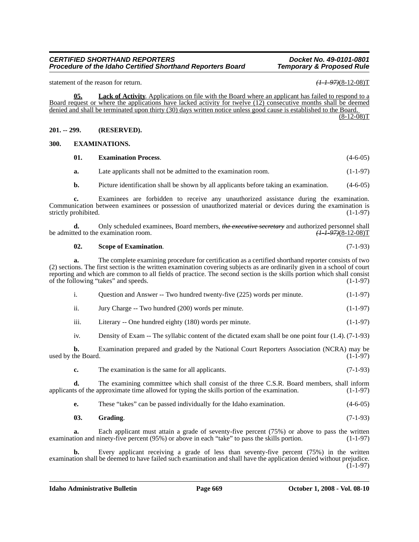#### *CERTIFIED SHORTHAND REPORTERS Docket No. 49-0101-0801 Procedure of the Idaho Certified Shorthand Reporters Board*

statement of the reason for return. *(1-1-97)***(8-12-08)T** 

**05. Lack of Activity**. Applications on file with the Board where an applicant has failed to respond to a Board request or where the applications have lacked activity for twelve (12) consecutive months shall be deemed denied and shall be terminated upon thirty (30) days written notice unless good cause is established to the Board.

 $(8-12-08)T$ 

# **201. -- 299. (RESERVED).**

#### **300. EXAMINATIONS.**

| 01. | <b>Examination Process.</b> |  |  |
|-----|-----------------------------|--|--|
|     |                             |  |  |

**a.** Late applicants shall not be admitted to the examination room. (1-1-97)

**b.** Picture identification shall be shown by all applicants before taking an examination. (4-6-05)

**c.** Examinees are forbidden to receive any unauthorized assistance during the examination. Communication between examinees or possession of unauthorized material or devices during the examination is strictly prohibited. (1-1-97)

**d.** Only scheduled examinees, Board members, *the executive secretary* and authorized personnel shall ted to the examination room.  $\left(1 + \frac{197}{812 - 08}\right)T$ be admitted to the examination room.

# **02.** Scope of Examination. (7-1-93)

**a.** The complete examining procedure for certification as a certified shorthand reporter consists of two (2) sections. The first section is the written examination covering subjects as are ordinarily given in a school of court reporting and which are common to all fields of practice. The second section is the skills portion which shall consist of the following "takes" and speeds. (1-1-97)

|  | Question and Answer -- Two hundred twenty-five (225) words per minute. | $(1-1-97)$ |
|--|------------------------------------------------------------------------|------------|
|--|------------------------------------------------------------------------|------------|

- ii. Jury Charge -- Two hundred (200) words per minute. (1-1-97)
- iii. Literary -- One hundred eighty  $(180)$  words per minute.  $(1-1-97)$

iv. Density of Exam -- The syllabic content of the dictated exam shall be one point four (1.4). (7-1-93)

**b.** Examination prepared and graded by the National Court Reporters Association (NCRA) may be the Board. (1-1-97) used by the Board.

**c.** The examination is the same for all applicants. (7-1-93)

**d.** The examining committee which shall consist of the three C.S.R. Board members, shall inform ts of the approximate time allowed for typing the skills portion of the examination. (1-1-97) applicants of the approximate time allowed for typing the skills portion of the examination.

|  |  | These "takes" can be passed individually for the Idaho examination. | $(4-6-05)$ |
|--|--|---------------------------------------------------------------------|------------|
|--|--|---------------------------------------------------------------------|------------|

| 03. | <b>Grading.</b> | $(7-1-93)$ |  |
|-----|-----------------|------------|--|
|-----|-----------------|------------|--|

Each applicant must attain a grade of seventy-five percent (75%) or above to pass the written examination and ninety-five percent (95%) or above in each "take" to pass the skills portion. (1-1-97)

**b.** Every applicant receiving a grade of less than seventy-five percent (75%) in the written examination shall be deemed to have failed such examination and shall have the application denied without prejudice. (1-1-97)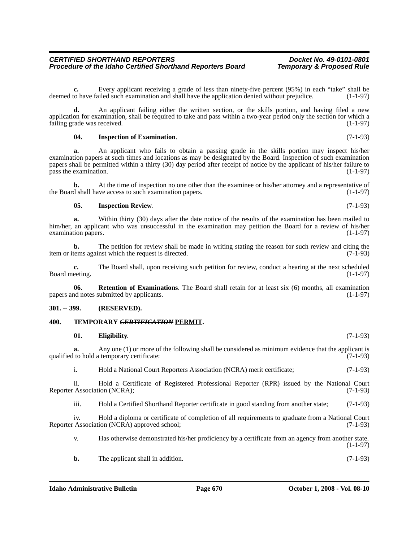**c.** Every applicant receiving a grade of less than ninety-five percent (95%) in each "take" shall be deemed to have failed such examination and shall have the application denied without prejudice. (1-1-97)

**d.** An applicant failing either the written section, or the skills portion, and having filed a new application for examination, shall be required to take and pass within a two-year period only the section for which a failing grade was received.  $(1-1-97)$ failing grade was received.

# **04. Inspection of Examination**. (7-1-93)

**a.** An applicant who fails to obtain a passing grade in the skills portion may inspect his/her examination papers at such times and locations as may be designated by the Board. Inspection of such examination papers shall be permitted within a thirty (30) day period after receipt of notice by the applicant of his/her failure to pass the examination.  $(1-1-97)$ 

**b.** At the time of inspection no one other than the examinee or his/her attorney and a representative of d shall have access to such examination papers.  $(1-1-97)$ the Board shall have access to such examination papers.

# **05. Inspection Review**. (7-1-93)

**a.** Within thirty (30) days after the date notice of the results of the examination has been mailed to him/her, an applicant who was unsuccessful in the examination may petition the Board for a review of his/her examination papers. (1-1-97) examination papers.

**b.** The petition for review shall be made in writing stating the reason for such review and citing the tems against which the request is directed. (7-1-93) item or items against which the request is directed.

**c.** The Board shall, upon receiving such petition for review, conduct a hearing at the next scheduled eeting. (1-1-97) Board meeting.

**06. Retention of Examinations**. The Board shall retain for at least six (6) months, all examination papers and notes submitted by applicants. (1-1-97)

# **301. -- 399. (RESERVED).**

# **400. TEMPORARY** *CERTIFICATION* **PERMIT.**

#### **01. Eligibility**. (7-1-93)

**a.** Any one (1) or more of the following shall be considered as minimum evidence that the applicant is qualified to hold a temporary certificate:  $(7-1-93)$ 

i. Hold a National Court Reporters Association (NCRA) merit certificate; (7-1-93)

ii. Hold a Certificate of Registered Professional Reporter (RPR) issued by the National Court (Association (NCRA); (7-1-93) Reporter Association (NCRA);

iii. Hold a Certified Shorthand Reporter certificate in good standing from another state; (7-1-93)

iv. Hold a diploma or certificate of completion of all requirements to graduate from a National Court Reporter Association (NCRA) approved school; (7-1-93)

v. Has otherwise demonstrated his/her proficiency by a certificate from an agency from another state.  $(1-1-97)$ 

**b.** The applicant shall in addition. (7-1-93)